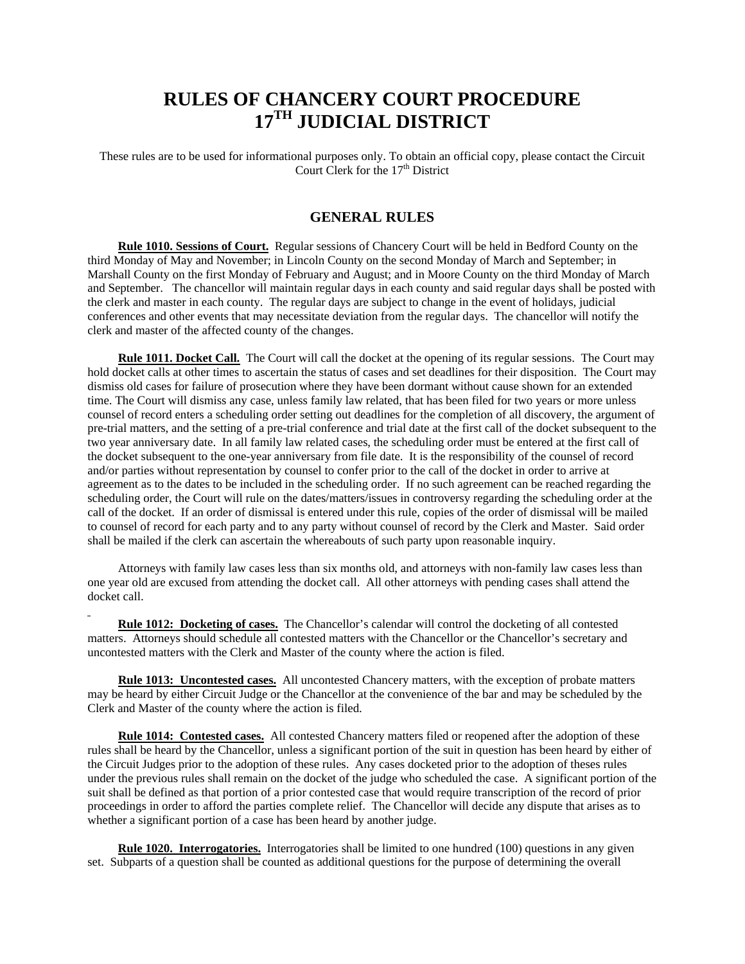# **RULES OF CHANCERY COURT PROCEDURE 17TH JUDICIAL DISTRICT**

These rules are to be used for informational purposes only. To obtain an official copy, please contact the Circuit Court Clerk for the  $17<sup>th</sup>$  District

# **GENERAL RULES**

 **Rule 1010. Sessions of Court.** Regular sessions of Chancery Court will be held in Bedford County on the third Monday of May and November; in Lincoln County on the second Monday of March and September; in Marshall County on the first Monday of February and August; and in Moore County on the third Monday of March and September. The chancellor will maintain regular days in each county and said regular days shall be posted with the clerk and master in each county. The regular days are subject to change in the event of holidays, judicial conferences and other events that may necessitate deviation from the regular days. The chancellor will notify the clerk and master of the affected county of the changes.

 **Rule 1011. Docket Call.** The Court will call the docket at the opening of its regular sessions. The Court may hold docket calls at other times to ascertain the status of cases and set deadlines for their disposition. The Court may dismiss old cases for failure of prosecution where they have been dormant without cause shown for an extended time. The Court will dismiss any case, unless family law related, that has been filed for two years or more unless counsel of record enters a scheduling order setting out deadlines for the completion of all discovery, the argument of pre-trial matters, and the setting of a pre-trial conference and trial date at the first call of the docket subsequent to the two year anniversary date. In all family law related cases, the scheduling order must be entered at the first call of the docket subsequent to the one-year anniversary from file date. It is the responsibility of the counsel of record and/or parties without representation by counsel to confer prior to the call of the docket in order to arrive at agreement as to the dates to be included in the scheduling order. If no such agreement can be reached regarding the scheduling order, the Court will rule on the dates/matters/issues in controversy regarding the scheduling order at the call of the docket. If an order of dismissal is entered under this rule, copies of the order of dismissal will be mailed to counsel of record for each party and to any party without counsel of record by the Clerk and Master. Said order shall be mailed if the clerk can ascertain the whereabouts of such party upon reasonable inquiry.

 Attorneys with family law cases less than six months old, and attorneys with non-family law cases less than one year old are excused from attending the docket call. All other attorneys with pending cases shall attend the docket call.

 **Rule 1012: Docketing of cases.** The Chancellor's calendar will control the docketing of all contested matters. Attorneys should schedule all contested matters with the Chancellor or the Chancellor's secretary and uncontested matters with the Clerk and Master of the county where the action is filed.

 **Rule 1013: Uncontested cases.** All uncontested Chancery matters, with the exception of probate matters may be heard by either Circuit Judge or the Chancellor at the convenience of the bar and may be scheduled by the Clerk and Master of the county where the action is filed.

 **Rule 1014: Contested cases.** All contested Chancery matters filed or reopened after the adoption of these rules shall be heard by the Chancellor, unless a significant portion of the suit in question has been heard by either of the Circuit Judges prior to the adoption of these rules. Any cases docketed prior to the adoption of theses rules under the previous rules shall remain on the docket of the judge who scheduled the case. A significant portion of the suit shall be defined as that portion of a prior contested case that would require transcription of the record of prior proceedings in order to afford the parties complete relief. The Chancellor will decide any dispute that arises as to whether a significant portion of a case has been heard by another judge.

**Rule 1020. Interrogatories.** Interrogatories shall be limited to one hundred (100) questions in any given set. Subparts of a question shall be counted as additional questions for the purpose of determining the overall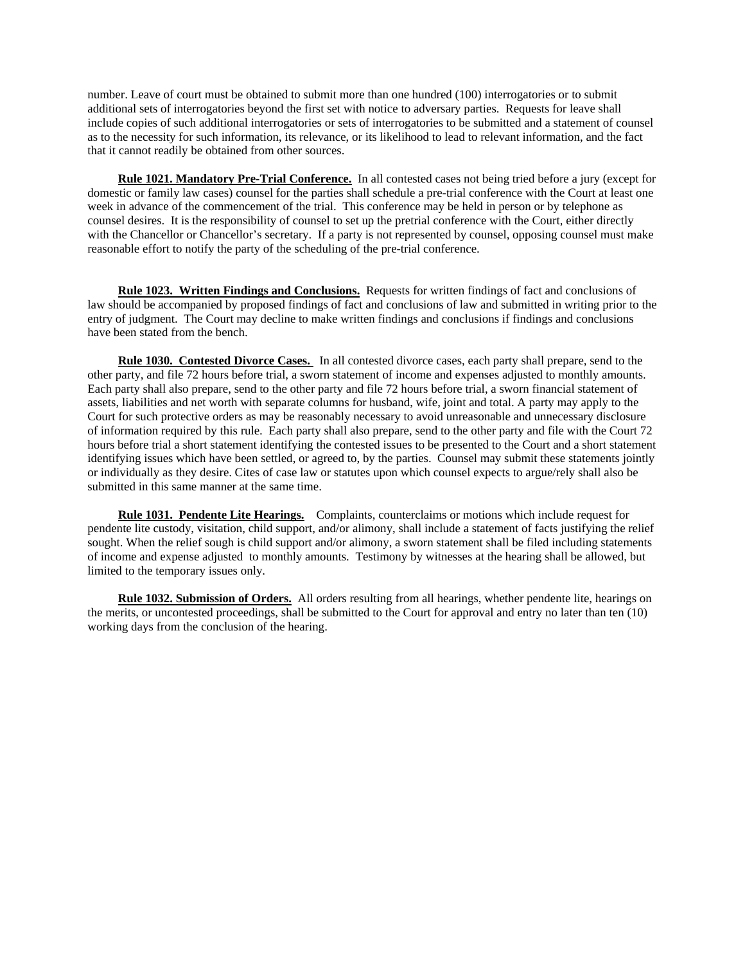number. Leave of court must be obtained to submit more than one hundred (100) interrogatories or to submit additional sets of interrogatories beyond the first set with notice to adversary parties. Requests for leave shall include copies of such additional interrogatories or sets of interrogatories to be submitted and a statement of counsel as to the necessity for such information, its relevance, or its likelihood to lead to relevant information, and the fact that it cannot readily be obtained from other sources.

 **Rule 1021. Mandatory Pre-Trial Conference.** In all contested cases not being tried before a jury (except for domestic or family law cases) counsel for the parties shall schedule a pre-trial conference with the Court at least one week in advance of the commencement of the trial. This conference may be held in person or by telephone as counsel desires. It is the responsibility of counsel to set up the pretrial conference with the Court, either directly with the Chancellor or Chancellor's secretary. If a party is not represented by counsel, opposing counsel must make reasonable effort to notify the party of the scheduling of the pre-trial conference.

 **Rule 1023. Written Findings and Conclusions.** Requests for written findings of fact and conclusions of law should be accompanied by proposed findings of fact and conclusions of law and submitted in writing prior to the entry of judgment. The Court may decline to make written findings and conclusions if findings and conclusions have been stated from the bench.

 **Rule 1030. Contested Divorce Cases.** In all contested divorce cases, each party shall prepare, send to the other party, and file 72 hours before trial, a sworn statement of income and expenses adjusted to monthly amounts. Each party shall also prepare, send to the other party and file 72 hours before trial, a sworn financial statement of assets, liabilities and net worth with separate columns for husband, wife, joint and total. A party may apply to the Court for such protective orders as may be reasonably necessary to avoid unreasonable and unnecessary disclosure of information required by this rule. Each party shall also prepare, send to the other party and file with the Court 72 hours before trial a short statement identifying the contested issues to be presented to the Court and a short statement identifying issues which have been settled, or agreed to, by the parties. Counsel may submit these statements jointly or individually as they desire. Cites of case law or statutes upon which counsel expects to argue/rely shall also be submitted in this same manner at the same time.

 **Rule 1031. Pendente Lite Hearings.** Complaints, counterclaims or motions which include request for pendente lite custody, visitation, child support, and/or alimony, shall include a statement of facts justifying the relief sought. When the relief sough is child support and/or alimony, a sworn statement shall be filed including statements of income and expense adjusted to monthly amounts. Testimony by witnesses at the hearing shall be allowed, but limited to the temporary issues only.

 **Rule 1032. Submission of Orders.** All orders resulting from all hearings, whether pendente lite, hearings on the merits, or uncontested proceedings, shall be submitted to the Court for approval and entry no later than ten (10) working days from the conclusion of the hearing.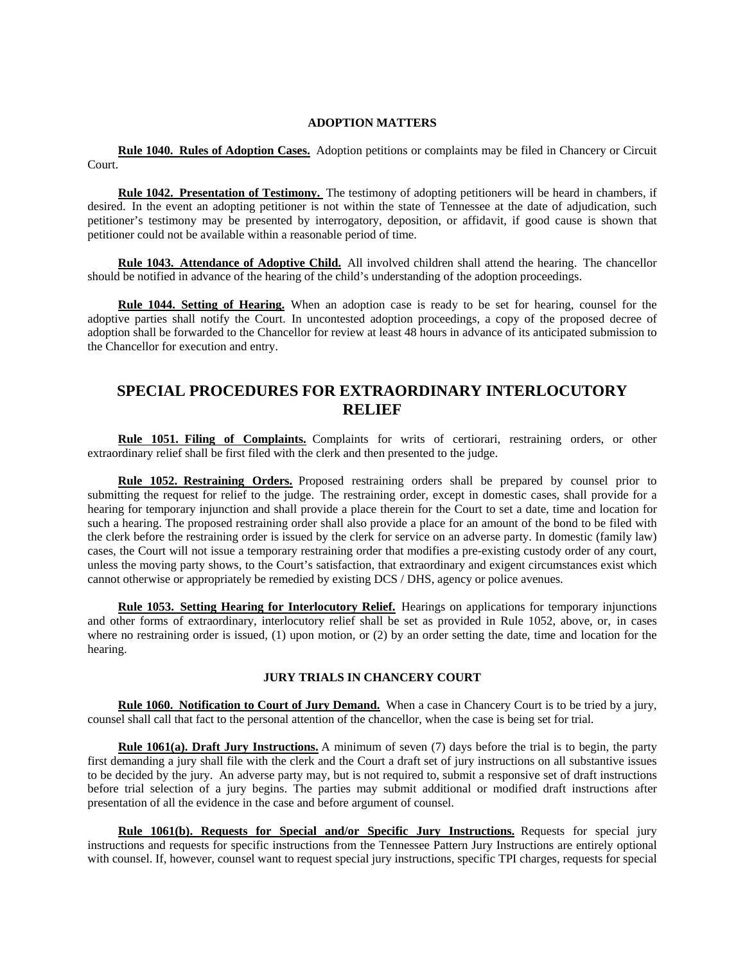# **ADOPTION MATTERS**

 **Rule 1040. Rules of Adoption Cases.** Adoption petitions or complaints may be filed in Chancery or Circuit Court.

 **Rule 1042. Presentation of Testimony.** The testimony of adopting petitioners will be heard in chambers, if desired. In the event an adopting petitioner is not within the state of Tennessee at the date of adjudication, such petitioner's testimony may be presented by interrogatory, deposition, or affidavit, if good cause is shown that petitioner could not be available within a reasonable period of time.

 **Rule 1043. Attendance of Adoptive Child.** All involved children shall attend the hearing. The chancellor should be notified in advance of the hearing of the child's understanding of the adoption proceedings.

 **Rule 1044. Setting of Hearing.** When an adoption case is ready to be set for hearing, counsel for the adoptive parties shall notify the Court. In uncontested adoption proceedings, a copy of the proposed decree of adoption shall be forwarded to the Chancellor for review at least 48 hours in advance of its anticipated submission to the Chancellor for execution and entry.

# **SPECIAL PROCEDURES FOR EXTRAORDINARY INTERLOCUTORY RELIEF**

 **Rule 1051. Filing of Complaints.** Complaints for writs of certiorari, restraining orders, or other extraordinary relief shall be first filed with the clerk and then presented to the judge.

 **Rule 1052. Restraining Orders.** Proposed restraining orders shall be prepared by counsel prior to submitting the request for relief to the judge. The restraining order, except in domestic cases, shall provide for a hearing for temporary injunction and shall provide a place therein for the Court to set a date, time and location for such a hearing. The proposed restraining order shall also provide a place for an amount of the bond to be filed with the clerk before the restraining order is issued by the clerk for service on an adverse party. In domestic (family law) cases, the Court will not issue a temporary restraining order that modifies a pre-existing custody order of any court, unless the moving party shows, to the Court's satisfaction, that extraordinary and exigent circumstances exist which cannot otherwise or appropriately be remedied by existing DCS / DHS, agency or police avenues.

 **Rule 1053. Setting Hearing for Interlocutory Relief.** Hearings on applications for temporary injunctions and other forms of extraordinary, interlocutory relief shall be set as provided in Rule 1052, above, or, in cases where no restraining order is issued, (1) upon motion, or (2) by an order setting the date, time and location for the hearing.

# **JURY TRIALS IN CHANCERY COURT**

 **Rule 1060. Notification to Court of Jury Demand.** When a case in Chancery Court is to be tried by a jury, counsel shall call that fact to the personal attention of the chancellor, when the case is being set for trial.

 **Rule 1061(a). Draft Jury Instructions.** A minimum of seven (7) days before the trial is to begin, the party first demanding a jury shall file with the clerk and the Court a draft set of jury instructions on all substantive issues to be decided by the jury. An adverse party may, but is not required to, submit a responsive set of draft instructions before trial selection of a jury begins. The parties may submit additional or modified draft instructions after presentation of all the evidence in the case and before argument of counsel.

 **Rule 1061(b). Requests for Special and/or Specific Jury Instructions.** Requests for special jury instructions and requests for specific instructions from the Tennessee Pattern Jury Instructions are entirely optional with counsel. If, however, counsel want to request special jury instructions, specific TPI charges, requests for special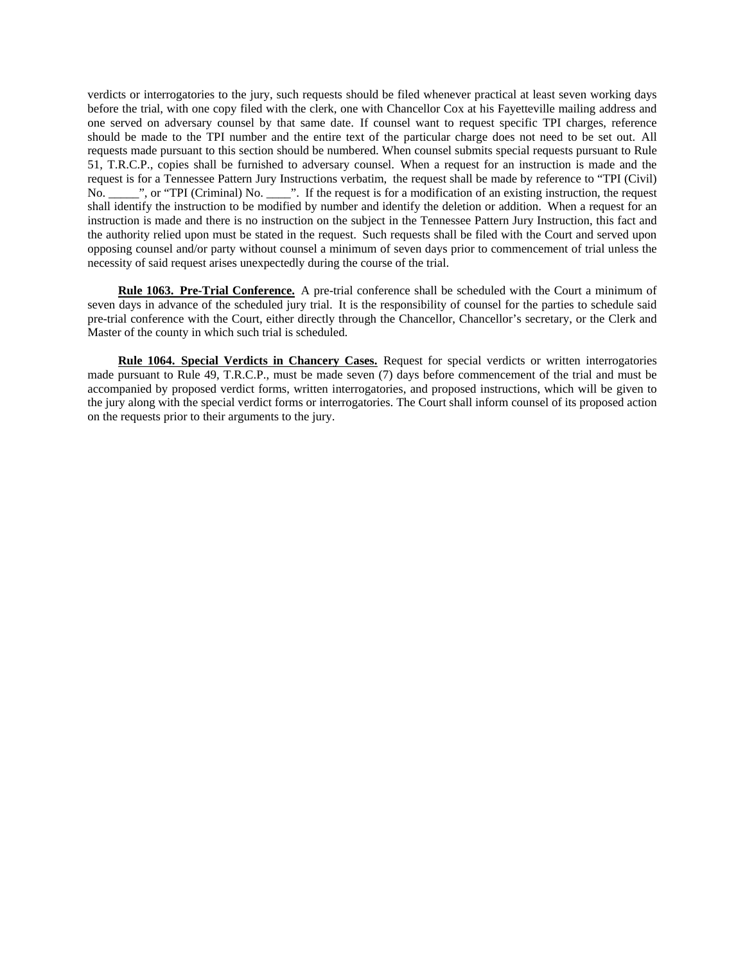verdicts or interrogatories to the jury, such requests should be filed whenever practical at least seven working days before the trial, with one copy filed with the clerk, one with Chancellor Cox at his Fayetteville mailing address and one served on adversary counsel by that same date. If counsel want to request specific TPI charges, reference should be made to the TPI number and the entire text of the particular charge does not need to be set out. All requests made pursuant to this section should be numbered. When counsel submits special requests pursuant to Rule 51, T.R.C.P., copies shall be furnished to adversary counsel. When a request for an instruction is made and the request is for a Tennessee Pattern Jury Instructions verbatim, the request shall be made by reference to "TPI (Civil) No. \_\_\_\_\_", or "TPI (Criminal) No. \_\_\_\_". If the request is for a modification of an existing instruction, the request shall identify the instruction to be modified by number and identify the deletion or addition. When a request for an instruction is made and there is no instruction on the subject in the Tennessee Pattern Jury Instruction, this fact and the authority relied upon must be stated in the request. Such requests shall be filed with the Court and served upon opposing counsel and/or party without counsel a minimum of seven days prior to commencement of trial unless the necessity of said request arises unexpectedly during the course of the trial.

 **Rule 1063. Pre-Trial Conference.** A pre-trial conference shall be scheduled with the Court a minimum of seven days in advance of the scheduled jury trial. It is the responsibility of counsel for the parties to schedule said pre-trial conference with the Court, either directly through the Chancellor, Chancellor's secretary, or the Clerk and Master of the county in which such trial is scheduled.

 **Rule 1064. Special Verdicts in Chancery Cases.** Request for special verdicts or written interrogatories made pursuant to Rule 49, T.R.C.P., must be made seven (7) days before commencement of the trial and must be accompanied by proposed verdict forms, written interrogatories, and proposed instructions, which will be given to the jury along with the special verdict forms or interrogatories. The Court shall inform counsel of its proposed action on the requests prior to their arguments to the jury.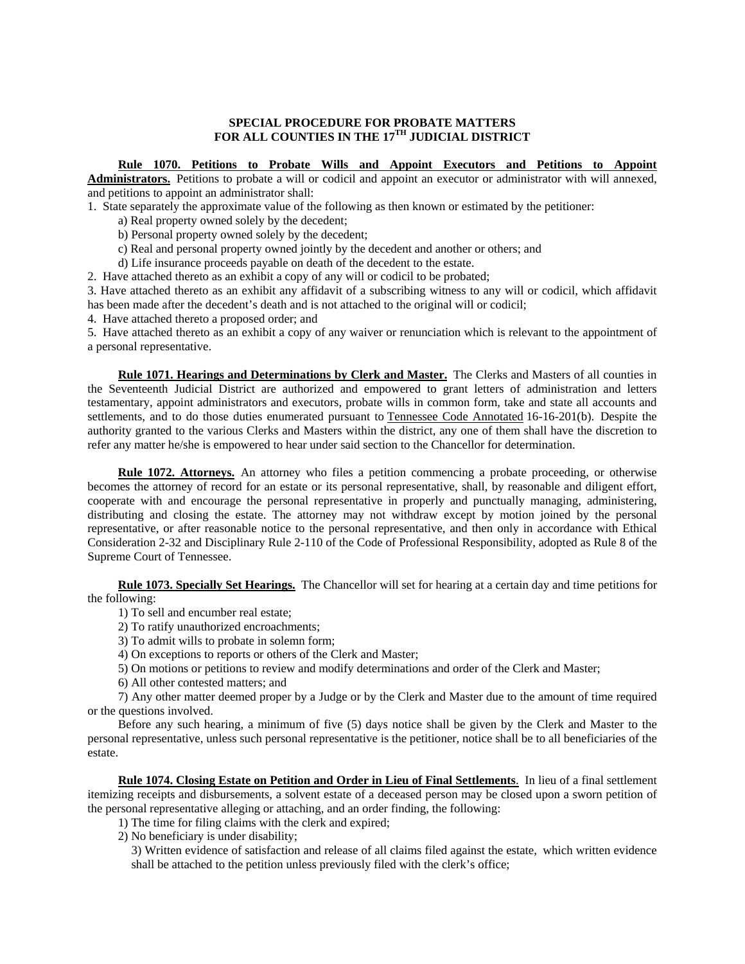# **SPECIAL PROCEDURE FOR PROBATE MATTERS FOR ALL COUNTIES IN THE 17TH JUDICIAL DISTRICT**

# **Rule 1070. Petitions to Probate Wills and Appoint Executors and Petitions to Appoint**

**Administrators.** Petitions to probate a will or codicil and appoint an executor or administrator with will annexed, and petitions to appoint an administrator shall:

1. State separately the approximate value of the following as then known or estimated by the petitioner:

- a) Real property owned solely by the decedent;
- b) Personal property owned solely by the decedent;
- c) Real and personal property owned jointly by the decedent and another or others; and
- d) Life insurance proceeds payable on death of the decedent to the estate.

2. Have attached thereto as an exhibit a copy of any will or codicil to be probated;

3. Have attached thereto as an exhibit any affidavit of a subscribing witness to any will or codicil, which affidavit has been made after the decedent's death and is not attached to the original will or codicil;

4. Have attached thereto a proposed order; and

5. Have attached thereto as an exhibit a copy of any waiver or renunciation which is relevant to the appointment of a personal representative.

 **Rule 1071. Hearings and Determinations by Clerk and Master.** The Clerks and Masters of all counties in the Seventeenth Judicial District are authorized and empowered to grant letters of administration and letters testamentary, appoint administrators and executors, probate wills in common form, take and state all accounts and settlements, and to do those duties enumerated pursuant to Tennessee Code Annotated 16-16-201(b). Despite the authority granted to the various Clerks and Masters within the district, any one of them shall have the discretion to refer any matter he/she is empowered to hear under said section to the Chancellor for determination.

 **Rule 1072. Attorneys.** An attorney who files a petition commencing a probate proceeding, or otherwise becomes the attorney of record for an estate or its personal representative, shall, by reasonable and diligent effort, cooperate with and encourage the personal representative in properly and punctually managing, administering, distributing and closing the estate. The attorney may not withdraw except by motion joined by the personal representative, or after reasonable notice to the personal representative, and then only in accordance with Ethical Consideration 2-32 and Disciplinary Rule 2-110 of the Code of Professional Responsibility, adopted as Rule 8 of the Supreme Court of Tennessee.

 **Rule 1073. Specially Set Hearings.** The Chancellor will set for hearing at a certain day and time petitions for the following:

- 1) To sell and encumber real estate;
- 2) To ratify unauthorized encroachments;
- 3) To admit wills to probate in solemn form;
- 4) On exceptions to reports or others of the Clerk and Master;
- 5) On motions or petitions to review and modify determinations and order of the Clerk and Master;
- 6) All other contested matters; and

 7) Any other matter deemed proper by a Judge or by the Clerk and Master due to the amount of time required or the questions involved.

 Before any such hearing, a minimum of five (5) days notice shall be given by the Clerk and Master to the personal representative, unless such personal representative is the petitioner, notice shall be to all beneficiaries of the estate.

 **Rule 1074. Closing Estate on Petition and Order in Lieu of Final Settlements**. In lieu of a final settlement itemizing receipts and disbursements, a solvent estate of a deceased person may be closed upon a sworn petition of the personal representative alleging or attaching, and an order finding, the following:

- 1) The time for filing claims with the clerk and expired;
- 2) No beneficiary is under disability;

3) Written evidence of satisfaction and release of all claims filed against the estate, which written evidence shall be attached to the petition unless previously filed with the clerk's office;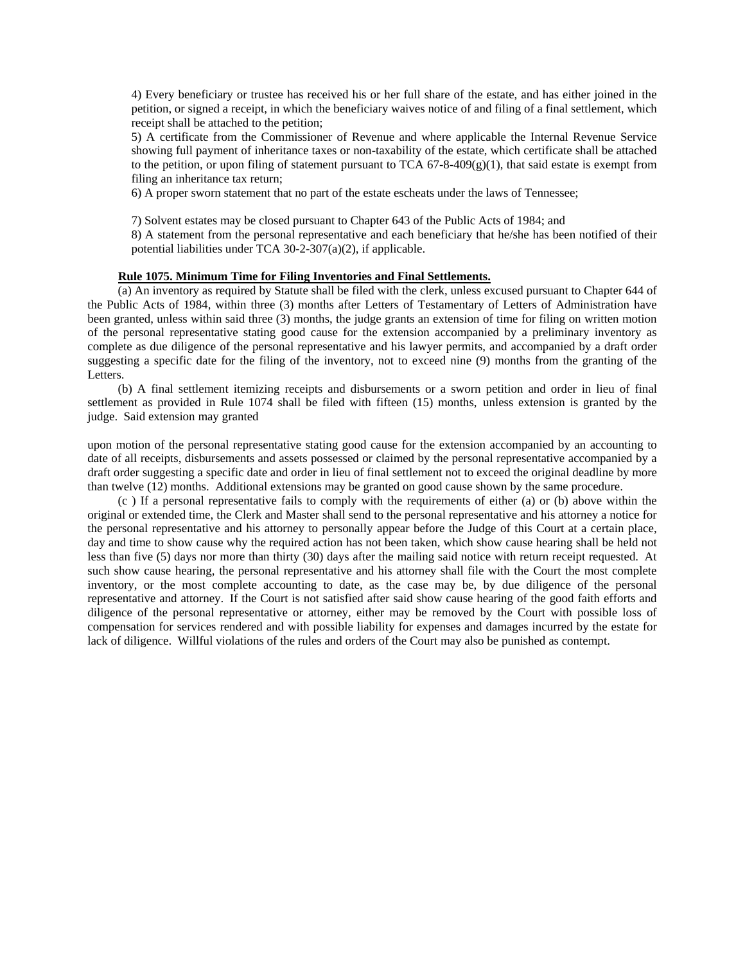4) Every beneficiary or trustee has received his or her full share of the estate, and has either joined in the petition, or signed a receipt, in which the beneficiary waives notice of and filing of a final settlement, which receipt shall be attached to the petition;

5) A certificate from the Commissioner of Revenue and where applicable the Internal Revenue Service showing full payment of inheritance taxes or non-taxability of the estate, which certificate shall be attached to the petition, or upon filing of statement pursuant to TCA  $67-8-409(g)(1)$ , that said estate is exempt from filing an inheritance tax return;

6) A proper sworn statement that no part of the estate escheats under the laws of Tennessee;

7) Solvent estates may be closed pursuant to Chapter 643 of the Public Acts of 1984; and

8) A statement from the personal representative and each beneficiary that he/she has been notified of their potential liabilities under TCA 30-2-307(a)(2), if applicable.

# **Rule 1075. Minimum Time for Filing Inventories and Final Settlements.**

 (a) An inventory as required by Statute shall be filed with the clerk, unless excused pursuant to Chapter 644 of the Public Acts of 1984, within three (3) months after Letters of Testamentary of Letters of Administration have been granted, unless within said three (3) months, the judge grants an extension of time for filing on written motion of the personal representative stating good cause for the extension accompanied by a preliminary inventory as complete as due diligence of the personal representative and his lawyer permits, and accompanied by a draft order suggesting a specific date for the filing of the inventory, not to exceed nine (9) months from the granting of the Letters.

 (b) A final settlement itemizing receipts and disbursements or a sworn petition and order in lieu of final settlement as provided in Rule 1074 shall be filed with fifteen (15) months, unless extension is granted by the judge. Said extension may granted

upon motion of the personal representative stating good cause for the extension accompanied by an accounting to date of all receipts, disbursements and assets possessed or claimed by the personal representative accompanied by a draft order suggesting a specific date and order in lieu of final settlement not to exceed the original deadline by more than twelve (12) months. Additional extensions may be granted on good cause shown by the same procedure.

 (c ) If a personal representative fails to comply with the requirements of either (a) or (b) above within the original or extended time, the Clerk and Master shall send to the personal representative and his attorney a notice for the personal representative and his attorney to personally appear before the Judge of this Court at a certain place, day and time to show cause why the required action has not been taken, which show cause hearing shall be held not less than five (5) days nor more than thirty (30) days after the mailing said notice with return receipt requested. At such show cause hearing, the personal representative and his attorney shall file with the Court the most complete inventory, or the most complete accounting to date, as the case may be, by due diligence of the personal representative and attorney. If the Court is not satisfied after said show cause hearing of the good faith efforts and diligence of the personal representative or attorney, either may be removed by the Court with possible loss of compensation for services rendered and with possible liability for expenses and damages incurred by the estate for lack of diligence. Willful violations of the rules and orders of the Court may also be punished as contempt.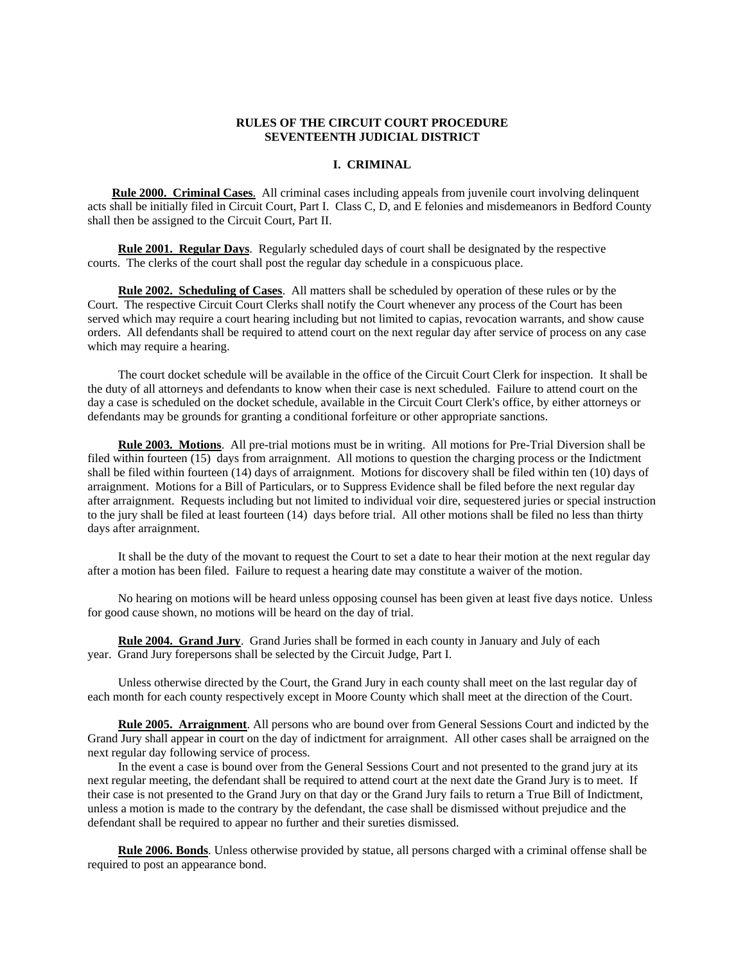# **RULES OF THE CIRCUIT COURT PROCEDURE SEVENTEENTH JUDICIAL DISTRICT**

#### **I. CRIMINAL**

 **Rule 2000. Criminal Cases**. All criminal cases including appeals from juvenile court involving delinquent acts shall be initially filed in Circuit Court, Part I. Class C, D, and E felonies and misdemeanors in Bedford County shall then be assigned to the Circuit Court, Part II.

 **Rule 2001. Regular Days**. Regularly scheduled days of court shall be designated by the respective courts. The clerks of the court shall post the regular day schedule in a conspicuous place.

 **Rule 2002. Scheduling of Cases**. All matters shall be scheduled by operation of these rules or by the Court. The respective Circuit Court Clerks shall notify the Court whenever any process of the Court has been served which may require a court hearing including but not limited to capias, revocation warrants, and show cause orders. All defendants shall be required to attend court on the next regular day after service of process on any case which may require a hearing.

 The court docket schedule will be available in the office of the Circuit Court Clerk for inspection. It shall be the duty of all attorneys and defendants to know when their case is next scheduled. Failure to attend court on the day a case is scheduled on the docket schedule, available in the Circuit Court Clerk's office, by either attorneys or defendants may be grounds for granting a conditional forfeiture or other appropriate sanctions.

 **Rule 2003. Motions**. All pre-trial motions must be in writing. All motions for Pre-Trial Diversion shall be filed within fourteen (15) days from arraignment. All motions to question the charging process or the Indictment shall be filed within fourteen (14) days of arraignment. Motions for discovery shall be filed within ten (10) days of arraignment. Motions for a Bill of Particulars, or to Suppress Evidence shall be filed before the next regular day after arraignment. Requests including but not limited to individual voir dire, sequestered juries or special instruction to the jury shall be filed at least fourteen (14) days before trial. All other motions shall be filed no less than thirty days after arraignment.

 It shall be the duty of the movant to request the Court to set a date to hear their motion at the next regular day after a motion has been filed. Failure to request a hearing date may constitute a waiver of the motion.

 No hearing on motions will be heard unless opposing counsel has been given at least five days notice. Unless for good cause shown, no motions will be heard on the day of trial.

 **Rule 2004. Grand Jury**. Grand Juries shall be formed in each county in January and July of each year. Grand Jury forepersons shall be selected by the Circuit Judge, Part I.

 Unless otherwise directed by the Court, the Grand Jury in each county shall meet on the last regular day of each month for each county respectively except in Moore County which shall meet at the direction of the Court.

 **Rule 2005. Arraignment**. All persons who are bound over from General Sessions Court and indicted by the Grand Jury shall appear in court on the day of indictment for arraignment. All other cases shall be arraigned on the next regular day following service of process.

 In the event a case is bound over from the General Sessions Court and not presented to the grand jury at its next regular meeting, the defendant shall be required to attend court at the next date the Grand Jury is to meet. If their case is not presented to the Grand Jury on that day or the Grand Jury fails to return a True Bill of Indictment, unless a motion is made to the contrary by the defendant, the case shall be dismissed without prejudice and the defendant shall be required to appear no further and their sureties dismissed.

 **Rule 2006. Bonds**. Unless otherwise provided by statue, all persons charged with a criminal offense shall be required to post an appearance bond.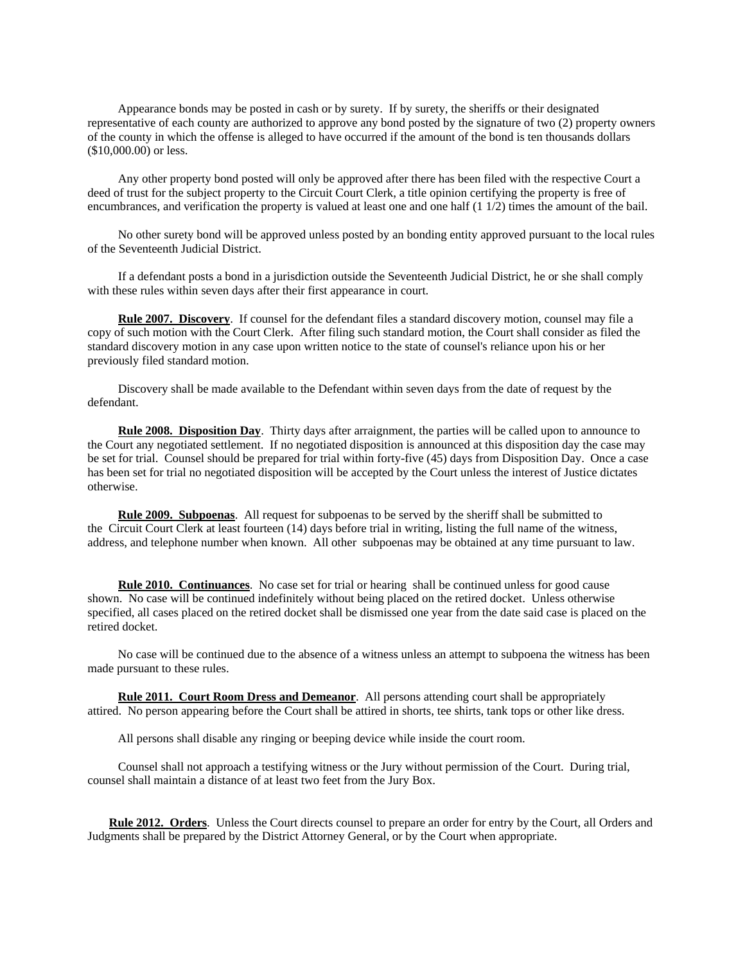Appearance bonds may be posted in cash or by surety. If by surety, the sheriffs or their designated representative of each county are authorized to approve any bond posted by the signature of two (2) property owners of the county in which the offense is alleged to have occurred if the amount of the bond is ten thousands dollars (\$10,000.00) or less.

 Any other property bond posted will only be approved after there has been filed with the respective Court a deed of trust for the subject property to the Circuit Court Clerk, a title opinion certifying the property is free of encumbrances, and verification the property is valued at least one and one half (1 1/2) times the amount of the bail.

 No other surety bond will be approved unless posted by an bonding entity approved pursuant to the local rules of the Seventeenth Judicial District.

 If a defendant posts a bond in a jurisdiction outside the Seventeenth Judicial District, he or she shall comply with these rules within seven days after their first appearance in court.

 **Rule 2007. Discovery**. If counsel for the defendant files a standard discovery motion, counsel may file a copy of such motion with the Court Clerk. After filing such standard motion, the Court shall consider as filed the standard discovery motion in any case upon written notice to the state of counsel's reliance upon his or her previously filed standard motion.

 Discovery shall be made available to the Defendant within seven days from the date of request by the defendant.

 **Rule 2008. Disposition Day**. Thirty days after arraignment, the parties will be called upon to announce to the Court any negotiated settlement. If no negotiated disposition is announced at this disposition day the case may be set for trial. Counsel should be prepared for trial within forty-five (45) days from Disposition Day. Once a case has been set for trial no negotiated disposition will be accepted by the Court unless the interest of Justice dictates otherwise.

 **Rule 2009. Subpoenas**. All request for subpoenas to be served by the sheriff shall be submitted to the Circuit Court Clerk at least fourteen (14) days before trial in writing, listing the full name of the witness, address, and telephone number when known. All other subpoenas may be obtained at any time pursuant to law.

 **Rule 2010. Continuances**. No case set for trial or hearing shall be continued unless for good cause shown. No case will be continued indefinitely without being placed on the retired docket. Unless otherwise specified, all cases placed on the retired docket shall be dismissed one year from the date said case is placed on the retired docket.

 No case will be continued due to the absence of a witness unless an attempt to subpoena the witness has been made pursuant to these rules.

 **Rule 2011. Court Room Dress and Demeanor**. All persons attending court shall be appropriately attired. No person appearing before the Court shall be attired in shorts, tee shirts, tank tops or other like dress.

All persons shall disable any ringing or beeping device while inside the court room.

 Counsel shall not approach a testifying witness or the Jury without permission of the Court. During trial, counsel shall maintain a distance of at least two feet from the Jury Box.

 **Rule 2012. Orders**. Unless the Court directs counsel to prepare an order for entry by the Court, all Orders and Judgments shall be prepared by the District Attorney General, or by the Court when appropriate.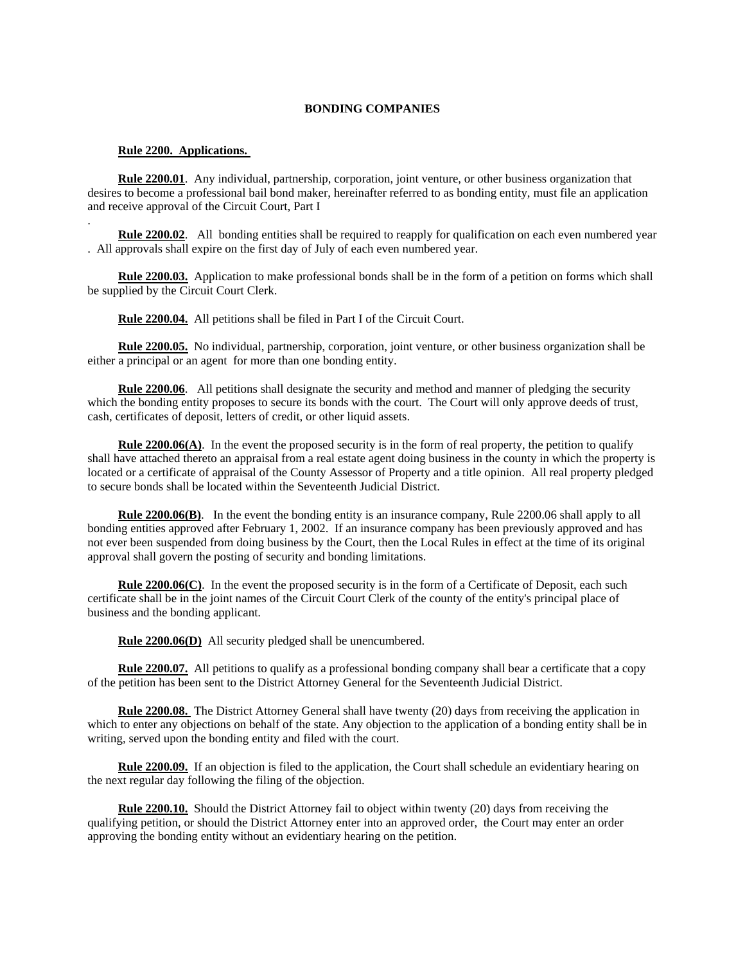#### **BONDING COMPANIES**

#### **Rule 2200. Applications.**

.

 **Rule 2200.01**. Any individual, partnership, corporation, joint venture, or other business organization that desires to become a professional bail bond maker, hereinafter referred to as bonding entity, must file an application and receive approval of the Circuit Court, Part I

 **Rule 2200.02**. All bonding entities shall be required to reapply for qualification on each even numbered year . All approvals shall expire on the first day of July of each even numbered year.

 **Rule 2200.03.** Application to make professional bonds shall be in the form of a petition on forms which shall be supplied by the Circuit Court Clerk.

**Rule 2200.04.** All petitions shall be filed in Part I of the Circuit Court.

 **Rule 2200.05.** No individual, partnership, corporation, joint venture, or other business organization shall be either a principal or an agent for more than one bonding entity.

**Rule 2200.06**. All petitions shall designate the security and method and manner of pledging the security which the bonding entity proposes to secure its bonds with the court. The Court will only approve deeds of trust, cash, certificates of deposit, letters of credit, or other liquid assets.

 **Rule 2200.06(A)**. In the event the proposed security is in the form of real property, the petition to qualify shall have attached thereto an appraisal from a real estate agent doing business in the county in which the property is located or a certificate of appraisal of the County Assessor of Property and a title opinion. All real property pledged to secure bonds shall be located within the Seventeenth Judicial District.

 **Rule 2200.06(B)**. In the event the bonding entity is an insurance company, Rule 2200.06 shall apply to all bonding entities approved after February 1, 2002. If an insurance company has been previously approved and has not ever been suspended from doing business by the Court, then the Local Rules in effect at the time of its original approval shall govern the posting of security and bonding limitations.

 **Rule 2200.06(C)**. In the event the proposed security is in the form of a Certificate of Deposit, each such certificate shall be in the joint names of the Circuit Court Clerk of the county of the entity's principal place of business and the bonding applicant.

**Rule 2200.06(D)** All security pledged shall be unencumbered.

**Rule 2200.07.** All petitions to qualify as a professional bonding company shall bear a certificate that a copy of the petition has been sent to the District Attorney General for the Seventeenth Judicial District.

 **Rule 2200.08.** The District Attorney General shall have twenty (20) days from receiving the application in which to enter any objections on behalf of the state. Any objection to the application of a bonding entity shall be in writing, served upon the bonding entity and filed with the court.

 **Rule 2200.09.** If an objection is filed to the application, the Court shall schedule an evidentiary hearing on the next regular day following the filing of the objection.

 **Rule 2200.10.** Should the District Attorney fail to object within twenty (20) days from receiving the qualifying petition, or should the District Attorney enter into an approved order, the Court may enter an order approving the bonding entity without an evidentiary hearing on the petition.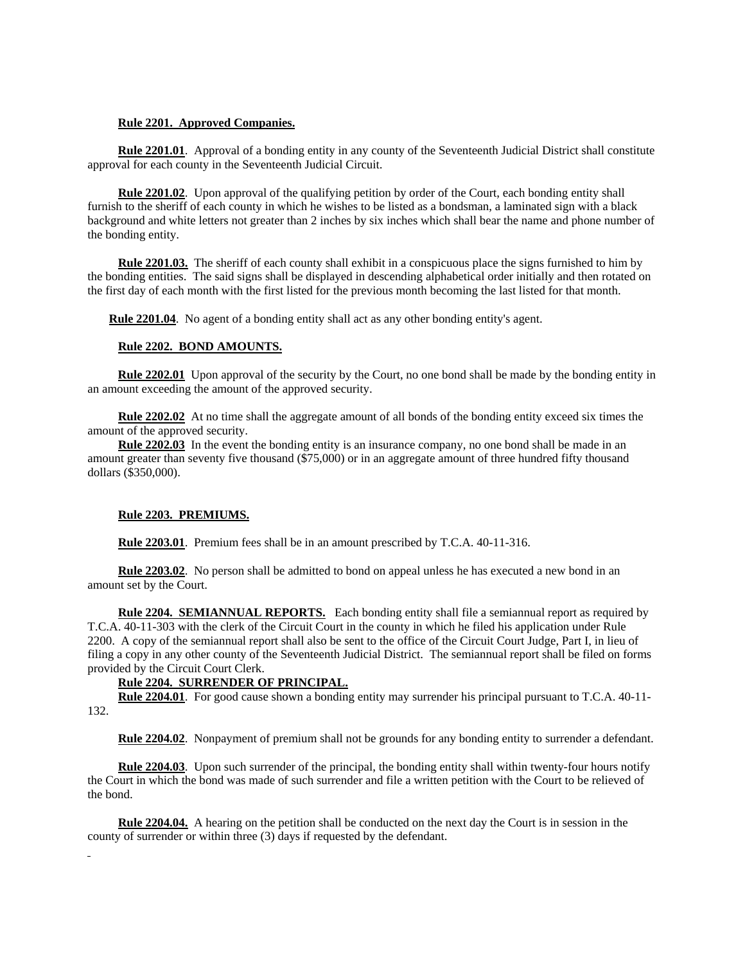## **Rule 2201. Approved Companies.**

 **Rule 2201.01**. Approval of a bonding entity in any county of the Seventeenth Judicial District shall constitute approval for each county in the Seventeenth Judicial Circuit.

 **Rule 2201.02**. Upon approval of the qualifying petition by order of the Court, each bonding entity shall furnish to the sheriff of each county in which he wishes to be listed as a bondsman, a laminated sign with a black background and white letters not greater than 2 inches by six inches which shall bear the name and phone number of the bonding entity.

 **Rule 2201.03.** The sheriff of each county shall exhibit in a conspicuous place the signs furnished to him by the bonding entities. The said signs shall be displayed in descending alphabetical order initially and then rotated on the first day of each month with the first listed for the previous month becoming the last listed for that month.

 **Rule 2201.04**. No agent of a bonding entity shall act as any other bonding entity's agent.

#### **Rule 2202. BOND AMOUNTS.**

 **Rule 2202.01** Upon approval of the security by the Court, no one bond shall be made by the bonding entity in an amount exceeding the amount of the approved security.

**Rule 2202.02** At no time shall the aggregate amount of all bonds of the bonding entity exceed six times the amount of the approved security.

 **Rule 2202.03** In the event the bonding entity is an insurance company, no one bond shall be made in an amount greater than seventy five thousand (\$75,000) or in an aggregate amount of three hundred fifty thousand dollars (\$350,000).

# **Rule 2203. PREMIUMS.**

**Rule 2203.01**. Premium fees shall be in an amount prescribed by T.C.A. 40-11-316.

**Rule 2203.02.** No person shall be admitted to bond on appeal unless he has executed a new bond in an amount set by the Court.

 **Rule 2204. SEMIANNUAL REPORTS.** Each bonding entity shall file a semiannual report as required by T.C.A. 40-11-303 with the clerk of the Circuit Court in the county in which he filed his application under Rule 2200. A copy of the semiannual report shall also be sent to the office of the Circuit Court Judge, Part I, in lieu of filing a copy in any other county of the Seventeenth Judicial District. The semiannual report shall be filed on forms provided by the Circuit Court Clerk.

# **Rule 2204. SURRENDER OF PRINCIPAL.**

 **Rule 2204.01**. For good cause shown a bonding entity may surrender his principal pursuant to T.C.A. 40-11- 132.

**Rule 2204.02**. Nonpayment of premium shall not be grounds for any bonding entity to surrender a defendant.

 **Rule 2204.03**. Upon such surrender of the principal, the bonding entity shall within twenty-four hours notify the Court in which the bond was made of such surrender and file a written petition with the Court to be relieved of the bond.

 **Rule 2204.04.** A hearing on the petition shall be conducted on the next day the Court is in session in the county of surrender or within three (3) days if requested by the defendant.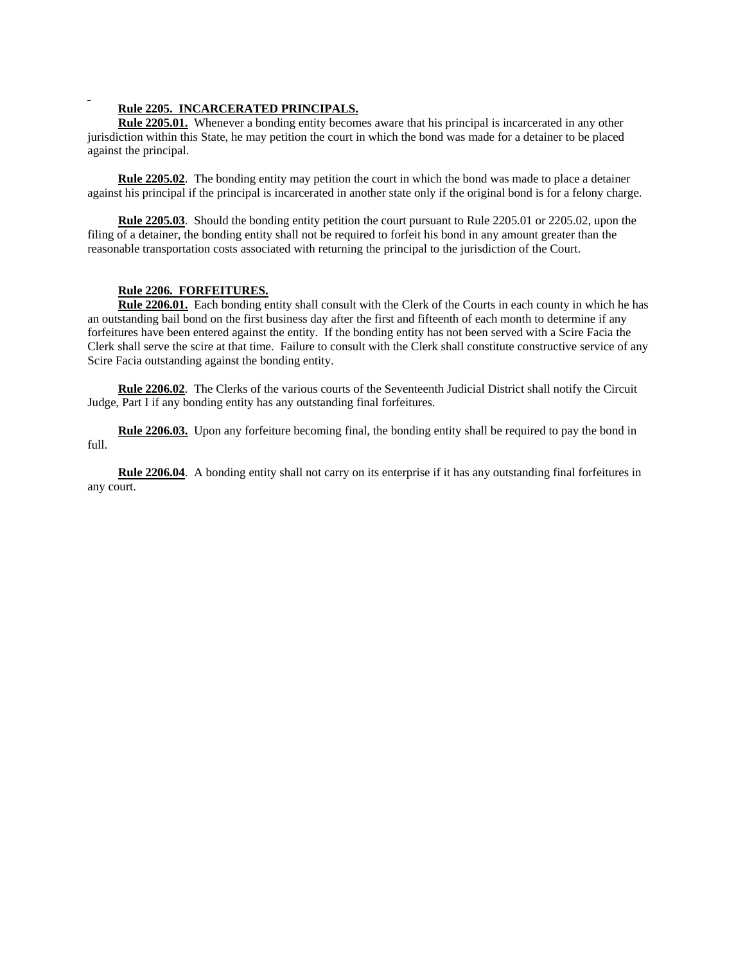# **Rule 2205. INCARCERATED PRINCIPALS.**

 **Rule 2205.01.** Whenever a bonding entity becomes aware that his principal is incarcerated in any other jurisdiction within this State, he may petition the court in which the bond was made for a detainer to be placed against the principal.

 **Rule 2205.02**. The bonding entity may petition the court in which the bond was made to place a detainer against his principal if the principal is incarcerated in another state only if the original bond is for a felony charge.

 **Rule 2205.03**. Should the bonding entity petition the court pursuant to Rule 2205.01 or 2205.02, upon the filing of a detainer, the bonding entity shall not be required to forfeit his bond in any amount greater than the reasonable transportation costs associated with returning the principal to the jurisdiction of the Court.

# **Rule 2206. FORFEITURES.**

 **Rule 2206.01.** Each bonding entity shall consult with the Clerk of the Courts in each county in which he has an outstanding bail bond on the first business day after the first and fifteenth of each month to determine if any forfeitures have been entered against the entity. If the bonding entity has not been served with a Scire Facia the Clerk shall serve the scire at that time. Failure to consult with the Clerk shall constitute constructive service of any Scire Facia outstanding against the bonding entity.

 **Rule 2206.02**. The Clerks of the various courts of the Seventeenth Judicial District shall notify the Circuit Judge, Part I if any bonding entity has any outstanding final forfeitures.

 **Rule 2206.03.** Upon any forfeiture becoming final, the bonding entity shall be required to pay the bond in full.

 **Rule 2206.04**. A bonding entity shall not carry on its enterprise if it has any outstanding final forfeitures in any court.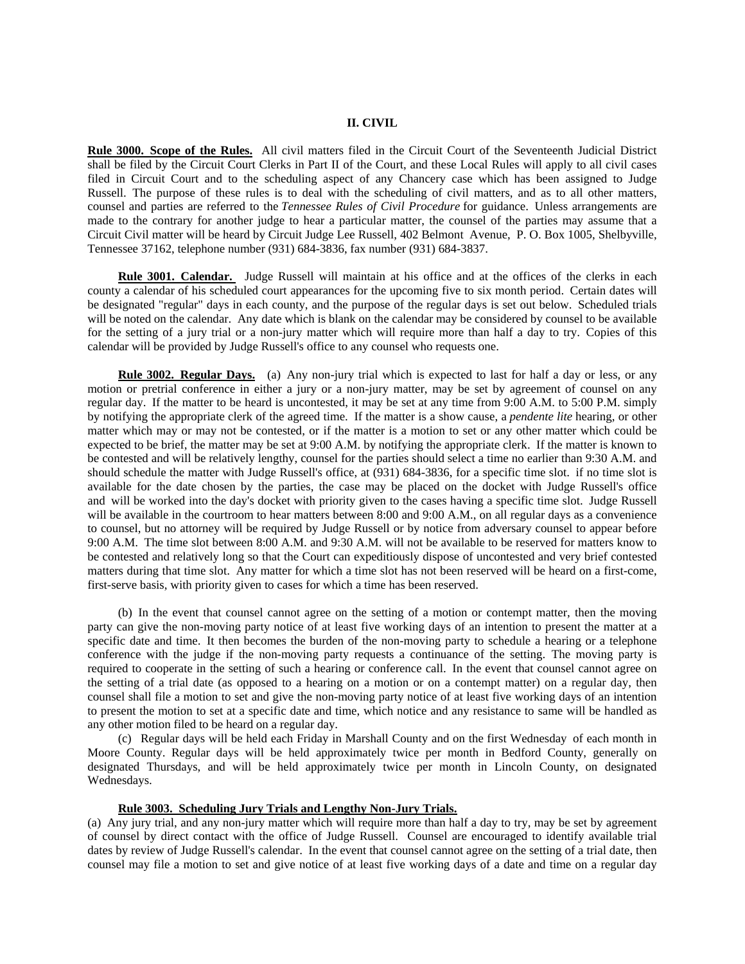#### **II. CIVIL**

**Rule 3000. Scope of the Rules.** All civil matters filed in the Circuit Court of the Seventeenth Judicial District shall be filed by the Circuit Court Clerks in Part II of the Court, and these Local Rules will apply to all civil cases filed in Circuit Court and to the scheduling aspect of any Chancery case which has been assigned to Judge Russell. The purpose of these rules is to deal with the scheduling of civil matters, and as to all other matters, counsel and parties are referred to the *Tennessee Rules of Civil Procedure* for guidance. Unless arrangements are made to the contrary for another judge to hear a particular matter, the counsel of the parties may assume that a Circuit Civil matter will be heard by Circuit Judge Lee Russell, 402 Belmont Avenue, P. O. Box 1005, Shelbyville, Tennessee 37162, telephone number (931) 684-3836, fax number (931) 684-3837.

 **Rule 3001. Calendar.** Judge Russell will maintain at his office and at the offices of the clerks in each county a calendar of his scheduled court appearances for the upcoming five to six month period. Certain dates will be designated "regular" days in each county, and the purpose of the regular days is set out below. Scheduled trials will be noted on the calendar. Any date which is blank on the calendar may be considered by counsel to be available for the setting of a jury trial or a non-jury matter which will require more than half a day to try. Copies of this calendar will be provided by Judge Russell's office to any counsel who requests one.

**Rule 3002. Regular Days.** (a) Any non-jury trial which is expected to last for half a day or less, or any motion or pretrial conference in either a jury or a non-jury matter, may be set by agreement of counsel on any regular day. If the matter to be heard is uncontested, it may be set at any time from 9:00 A.M. to 5:00 P.M. simply by notifying the appropriate clerk of the agreed time. If the matter is a show cause, a *pendente lite* hearing, or other matter which may or may not be contested, or if the matter is a motion to set or any other matter which could be expected to be brief, the matter may be set at 9:00 A.M. by notifying the appropriate clerk. If the matter is known to be contested and will be relatively lengthy, counsel for the parties should select a time no earlier than 9:30 A.M. and should schedule the matter with Judge Russell's office, at (931) 684-3836, for a specific time slot. if no time slot is available for the date chosen by the parties, the case may be placed on the docket with Judge Russell's office and will be worked into the day's docket with priority given to the cases having a specific time slot. Judge Russell will be available in the courtroom to hear matters between 8:00 and 9:00 A.M., on all regular days as a convenience to counsel, but no attorney will be required by Judge Russell or by notice from adversary counsel to appear before 9:00 A.M. The time slot between 8:00 A.M. and 9:30 A.M. will not be available to be reserved for matters know to be contested and relatively long so that the Court can expeditiously dispose of uncontested and very brief contested matters during that time slot. Any matter for which a time slot has not been reserved will be heard on a first-come, first-serve basis, with priority given to cases for which a time has been reserved.

 (b) In the event that counsel cannot agree on the setting of a motion or contempt matter, then the moving party can give the non-moving party notice of at least five working days of an intention to present the matter at a specific date and time. It then becomes the burden of the non-moving party to schedule a hearing or a telephone conference with the judge if the non-moving party requests a continuance of the setting. The moving party is required to cooperate in the setting of such a hearing or conference call. In the event that counsel cannot agree on the setting of a trial date (as opposed to a hearing on a motion or on a contempt matter) on a regular day, then counsel shall file a motion to set and give the non-moving party notice of at least five working days of an intention to present the motion to set at a specific date and time, which notice and any resistance to same will be handled as any other motion filed to be heard on a regular day.

 (c) Regular days will be held each Friday in Marshall County and on the first Wednesday of each month in Moore County. Regular days will be held approximately twice per month in Bedford County, generally on designated Thursdays, and will be held approximately twice per month in Lincoln County, on designated Wednesdays.

#### **Rule 3003. Scheduling Jury Trials and Lengthy Non-Jury Trials.**

(a) Any jury trial, and any non-jury matter which will require more than half a day to try, may be set by agreement of counsel by direct contact with the office of Judge Russell. Counsel are encouraged to identify available trial dates by review of Judge Russell's calendar. In the event that counsel cannot agree on the setting of a trial date, then counsel may file a motion to set and give notice of at least five working days of a date and time on a regular day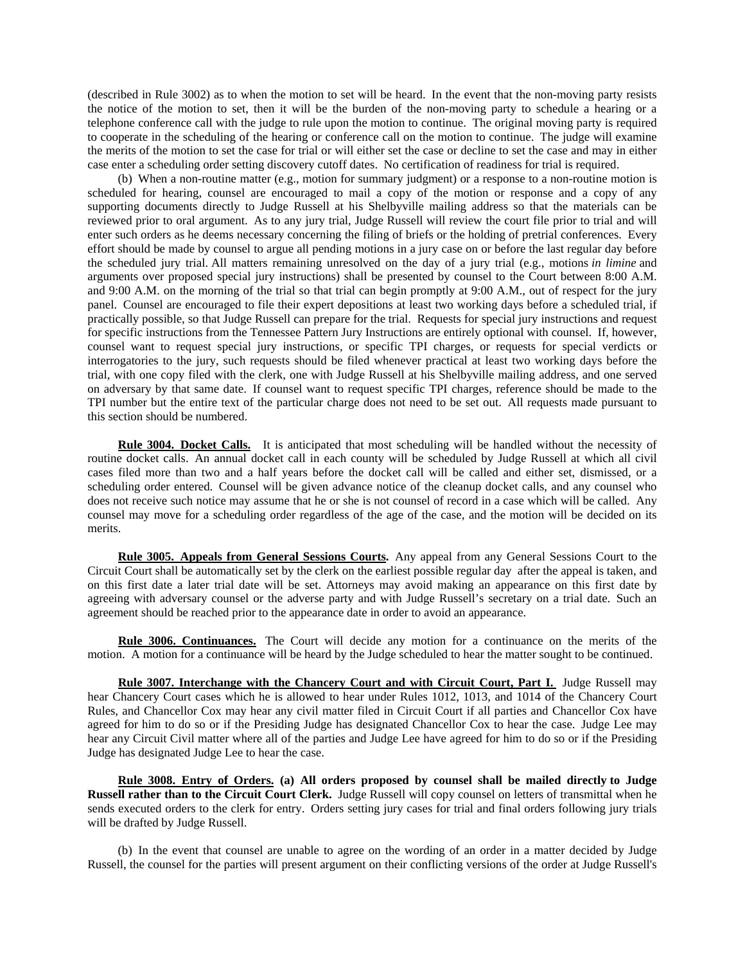(described in Rule 3002) as to when the motion to set will be heard. In the event that the non-moving party resists the notice of the motion to set, then it will be the burden of the non-moving party to schedule a hearing or a telephone conference call with the judge to rule upon the motion to continue. The original moving party is required to cooperate in the scheduling of the hearing or conference call on the motion to continue. The judge will examine the merits of the motion to set the case for trial or will either set the case or decline to set the case and may in either case enter a scheduling order setting discovery cutoff dates. No certification of readiness for trial is required.

 (b) When a non-routine matter (e.g., motion for summary judgment) or a response to a non-routine motion is scheduled for hearing, counsel are encouraged to mail a copy of the motion or response and a copy of any supporting documents directly to Judge Russell at his Shelbyville mailing address so that the materials can be reviewed prior to oral argument. As to any jury trial, Judge Russell will review the court file prior to trial and will enter such orders as he deems necessary concerning the filing of briefs or the holding of pretrial conferences. Every effort should be made by counsel to argue all pending motions in a jury case on or before the last regular day before the scheduled jury trial. All matters remaining unresolved on the day of a jury trial (e.g., motions *in limine* and arguments over proposed special jury instructions) shall be presented by counsel to the Court between 8:00 A.M. and 9:00 A.M. on the morning of the trial so that trial can begin promptly at 9:00 A.M., out of respect for the jury panel. Counsel are encouraged to file their expert depositions at least two working days before a scheduled trial, if practically possible, so that Judge Russell can prepare for the trial. Requests for special jury instructions and request for specific instructions from the Tennessee Pattern Jury Instructions are entirely optional with counsel. If, however, counsel want to request special jury instructions, or specific TPI charges, or requests for special verdicts or interrogatories to the jury, such requests should be filed whenever practical at least two working days before the trial, with one copy filed with the clerk, one with Judge Russell at his Shelbyville mailing address, and one served on adversary by that same date. If counsel want to request specific TPI charges, reference should be made to the TPI number but the entire text of the particular charge does not need to be set out. All requests made pursuant to this section should be numbered.

 **Rule 3004. Docket Calls.** It is anticipated that most scheduling will be handled without the necessity of routine docket calls. An annual docket call in each county will be scheduled by Judge Russell at which all civil cases filed more than two and a half years before the docket call will be called and either set, dismissed, or a scheduling order entered. Counsel will be given advance notice of the cleanup docket calls, and any counsel who does not receive such notice may assume that he or she is not counsel of record in a case which will be called. Any counsel may move for a scheduling order regardless of the age of the case, and the motion will be decided on its merits.

 **Rule 3005. Appeals from General Sessions Courts.** Any appeal from any General Sessions Court to the Circuit Court shall be automatically set by the clerk on the earliest possible regular day after the appeal is taken, and on this first date a later trial date will be set. Attorneys may avoid making an appearance on this first date by agreeing with adversary counsel or the adverse party and with Judge Russell's secretary on a trial date. Such an agreement should be reached prior to the appearance date in order to avoid an appearance.

 **Rule 3006. Continuances.** The Court will decide any motion for a continuance on the merits of the motion. A motion for a continuance will be heard by the Judge scheduled to hear the matter sought to be continued.

Rule 3007. Interchange with the Chancery Court and with Circuit Court, Part I. Judge Russell may hear Chancery Court cases which he is allowed to hear under Rules 1012, 1013, and 1014 of the Chancery Court Rules, and Chancellor Cox may hear any civil matter filed in Circuit Court if all parties and Chancellor Cox have agreed for him to do so or if the Presiding Judge has designated Chancellor Cox to hear the case. Judge Lee may hear any Circuit Civil matter where all of the parties and Judge Lee have agreed for him to do so or if the Presiding Judge has designated Judge Lee to hear the case.

 **Rule 3008. Entry of Orders. (a) All orders proposed by counsel shall be mailed directly to Judge Russell rather than to the Circuit Court Clerk.** Judge Russell will copy counsel on letters of transmittal when he sends executed orders to the clerk for entry. Orders setting jury cases for trial and final orders following jury trials will be drafted by Judge Russell.

 (b) In the event that counsel are unable to agree on the wording of an order in a matter decided by Judge Russell, the counsel for the parties will present argument on their conflicting versions of the order at Judge Russell's